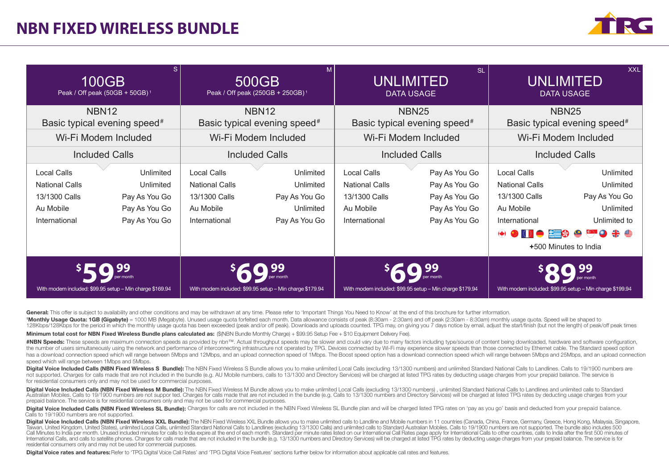# **NBN FIXED WIRELESS BUNDLE**



| S.<br>100GB<br>Peak / Off peak (50GB + 50GB) <sup>1</sup>                                  |                                                                           | M<br>500GB<br>Peak / Off peak (250GB + 250GB) <sup>1</sup>                                 |                                                                       | <b>SL</b><br><b>UNLIMITED</b><br><b>DATA USAGE</b>                                         |                                                                                   | <b>XXL</b><br>UNLIMITED<br><b>DATA USAGE</b>                                                                        |                                                                                               |
|--------------------------------------------------------------------------------------------|---------------------------------------------------------------------------|--------------------------------------------------------------------------------------------|-----------------------------------------------------------------------|--------------------------------------------------------------------------------------------|-----------------------------------------------------------------------------------|---------------------------------------------------------------------------------------------------------------------|-----------------------------------------------------------------------------------------------|
| NBN <sub>12</sub><br>Basic typical evening speed <sup>#</sup>                              |                                                                           | <b>NBN12</b><br>Basic typical evening speed <sup>#</sup>                                   |                                                                       | <b>NBN25</b><br>Basic typical evening speed <sup>#</sup>                                   |                                                                                   | <b>NBN25</b><br>Basic typical evening speed <sup>#</sup>                                                            |                                                                                               |
| Wi-Fi Modem Included                                                                       |                                                                           | Wi-Fi Modem Included                                                                       |                                                                       | Wi-Fi Modem Included                                                                       |                                                                                   | Wi-Fi Modem Included                                                                                                |                                                                                               |
| <b>Included Calls</b>                                                                      |                                                                           | <b>Included Calls</b>                                                                      |                                                                       | <b>Included Calls</b>                                                                      |                                                                                   | <b>Included Calls</b>                                                                                               |                                                                                               |
| <b>Local Calls</b><br><b>National Calls</b><br>13/1300 Calls<br>Au Mobile<br>International | Unlimited<br>Unlimited<br>Pay As You Go<br>Pay As You Go<br>Pay As You Go | <b>Local Calls</b><br><b>National Calls</b><br>13/1300 Calls<br>Au Mobile<br>International | Unlimited<br>Unlimited<br>Pay As You Go<br>Unlimited<br>Pay As You Go | <b>Local Calls</b><br><b>National Calls</b><br>13/1300 Calls<br>Au Mobile<br>International | Pay As You Go<br>Pay As You Go<br>Pay As You Go<br>Pay As You Go<br>Pay As You Go | <b>Local Calls</b><br><b>National Calls</b><br>13/1300 Calls<br>Au Mobile<br>International<br>$\bullet$ 0000 2300 * | Unlimited<br>Unlimited<br>Pay As You Go<br>Unlimited<br>Unlimited to<br>+500 Minutes to India |
| With modem included: \$99.95 setup - Min charge \$169.94                                   |                                                                           | With modem included: \$99.95 setup - Min charge \$179.94                                   |                                                                       | With modem included: \$99.95 setup - Min charge \$179.94                                   |                                                                                   | With modem included: \$99.95 setup - Min charge \$199.94                                                            |                                                                                               |

General: This offer is subject to availability and other conditions and may be withdrawn at any time. Please refer to 'Important Things You Need to Know' at the end of this brochure for further information.

1Monthly Usage Quota: 1GB (Gigabyte) = 1000 MB (Megabyte). Unused usage quota forfeited each month. Data allowance consists of peak (8:30am - 2:30am) and off peak (2:30am - 8:30am) monthly usage quota. Speed will be shaped 128Kbps/128Kbps for the period in which the monthly usage quota has been exceeded (peak and/or off peak). Downloads and uploads counted. TPG may, on giving you 7 days notice by email, adjust the start/finish (but not the l

Minimum total cost for NBN Fixed Wireless Bundle plans calculated as: (\$(NBN Bundle Monthly Charge) + \$99.95 Setup Fee + \$10 Equipment Delivery Fee).

#NBN Speeds: These speeds are maximum connection speeds as provided by nbn™. Actual throughout speeds may be slower and could vary due to many factors including type/source of content being downloaded. hardware and softwa the number of users simultaneously using the network and performance of interconnecting infrastructure not operated by TPG. Devices connected by Wi-Fi may experience slower speeds than those connected by Ethernet cable. Th has a download connection speed which will range between 5Mbps and 12Mbps, and an upload connection speed of 1Mbps. The Boost speed option has a download connection speed which will range between 5Mbps and 25Mbps, and an u speed which will range between 1Mbps and 5Mbps.

Digital Voice Included Calls (NBN Fixed Wireless S. Bundle): The NBN Fixed Wireless S. Bundle allows you to make unlimited Local Calls (excluding 13/1300 numbers) and unlimited Standard National Calls to Landlines. Calls t not supported. Charges for calls made that are not included in the bundle (e.g. AU Mobile numbers, calls to 13/1300 and Directory Services) will be charged at listed TPG rates by deducting usage charges from your prepaid b for residential consumers only and may not be used for commercial purposes.

Digital Voice Included Calls (NBN Fixed Wireless M Bundle): The NRN Fixed Wireless M Bundle allows you to make unlimited Local Calls (excluding 13/1300 numbers) unlimited Standard National Calls to Landlines and unlimited Australian Mobiles. Calls to 19/1900 numbers are not suppor ted. Charges for calls made that are not included in the bundle (e.g. Calls to 13/1300 numbers and Directory Services) will be charged at listed TPG rates by dedu prepaid balance. The service is for residential consumers only and may not be used for commercial purposes.

Digital Voice Included Calls (NBN Fixed Wireless SL Bundle): Charges for calls are not included in the NBN Fixed Wireless SL Bundle plan and will be charged listed TPG rates on 'pay as you go' basis and deducted from your Calls to 19/1900 numbers are not supported.

Digital Voice Included Calls (NBN Fixed Wireless XXL Bundle): The NBN Fixed Wireless XXL Bundle allows you to make unlimited calls to Landline and Mobile numbers in 11 countries (Canada, China, France, Germany, Greece, Hon Call Minutes to India per month. Unused included minutes for calls to India expire at the end of each month. Standard per minute rates listed on our International Call Rates page apply for International Calls to other coun International Calls, and calls to satellite phones. Charges for calls made that are not included in the bundle (e.g. 13/1300 numbers and Directory Services) will be charged at listed TPG rates by deducting usage charges fr residential consumers only and may not be used for commercial purposes.

Digital Voice rates and features: Refer to 'TPG Digital Voice Call Rates' and 'TPG Digital Voice Features' sections further below for information about applicable call rates and features.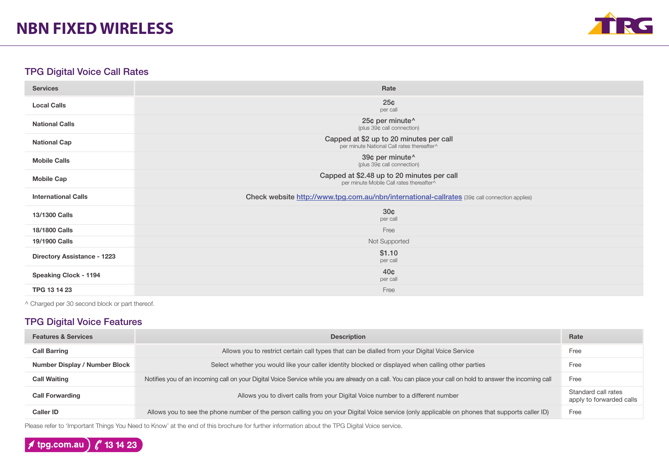

## TPG Digital Voice Call Rates

| <b>Services</b>                    | Rate                                                                                          |
|------------------------------------|-----------------------------------------------------------------------------------------------|
| <b>Local Calls</b>                 | 25 <sub>¢</sub><br>per call                                                                   |
| <b>National Calls</b>              | 25¢ per minute^<br>(plus 39¢ call connection)                                                 |
| <b>National Cap</b>                | Capped at \$2 up to 20 minutes per call<br>per minute National Call rates thereafter^         |
| <b>Mobile Calls</b>                | 39¢ per minute^<br>(plus 39¢ call connection)                                                 |
| <b>Mobile Cap</b>                  | Capped at \$2.48 up to 20 minutes per call<br>per minute Mobile Call rates thereafter^        |
| <b>International Calls</b>         | Check website http://www.tpg.com.au/nbn/international-callrates (39¢ call connection applies) |
| 13/1300 Calls                      | 30 <sub>¢</sub><br>per call                                                                   |
| 18/1800 Calls                      | Free                                                                                          |
| 19/1900 Calls                      | Not Supported                                                                                 |
| <b>Directory Assistance - 1223</b> | \$1.10<br>per call                                                                            |
| <b>Speaking Clock - 1194</b>       | 40 <sub>¢</sub>                                                                               |
|                                    | per call                                                                                      |

^ Charged per 30 second block or part thereof.

# TPG Digital Voice Features

| <b>Features &amp; Services</b> | <b>Description</b>                                                                                                                                          | Rate                                            |
|--------------------------------|-------------------------------------------------------------------------------------------------------------------------------------------------------------|-------------------------------------------------|
| <b>Call Barring</b>            | Allows you to restrict certain call types that can be dialled from your Digital Voice Service                                                               | Free                                            |
| Number Display / Number Block  | Select whether you would like your caller identity blocked or displayed when calling other parties                                                          | Free                                            |
| <b>Call Waiting</b>            | Notifies you of an incoming call on your Digital Voice Service while you are already on a call. You can place your call on hold to answer the incoming call | Free                                            |
| <b>Call Forwarding</b>         | Allows you to divert calls from your Digital Voice number to a different number                                                                             | Standard call rates<br>apply to forwarded calls |
| <b>Caller ID</b>               | Allows you to see the phone number of the person calling you on your Digital Voice service (only applicable on phones that supports caller ID)              | Free                                            |

Please refer to 'Important Things You Need to Know' at the end of this brochure for further information about the TPG Digital Voice service.